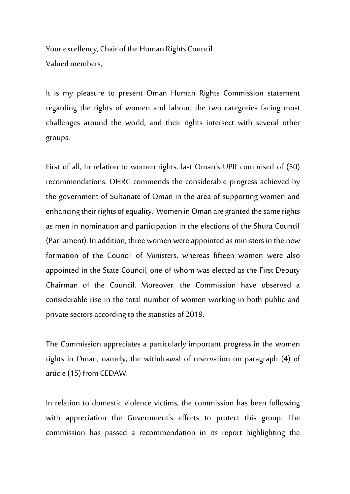Your excellency, Chair of the Human Rights Council Valued members,

It is my pleasure to present Oman Human Rights Commission statement regarding the rights of women and labour, the two categories facing most challenges around the world, and their rights intersect with several other groups.

First of all, In relation to women rights, last Oman's UPR comprised of (50) recommendations. OHRC commends the considerable progress achieved by the government of Sultanate of Oman in the area of supporting women and enhancing their rights of equality. Women in Oman are granted the same rights as men in nomination and participation in the elections of the Shura Council (Parliament). In addition, three women were appointed as ministers in the new formation of the Council of Ministers, whereas fifteen women were also appointed in the State Council, one of whom was elected as the First Deputy Chairman of the Council. Moreover, the Commission have observed a considerable rise in the total number of women working in both public and private sectors according to the statistics of 2019.

The Commission appreciates a particularly important progress in the women rights in Oman, namely, the withdrawal of reservation on paragraph (4) of article (15) from CEDAW.

In relation to domestic violence victims, the commission has been following with appreciation the Government's efforts to protect this group. The commission has passed a recommendation in its report highlighting the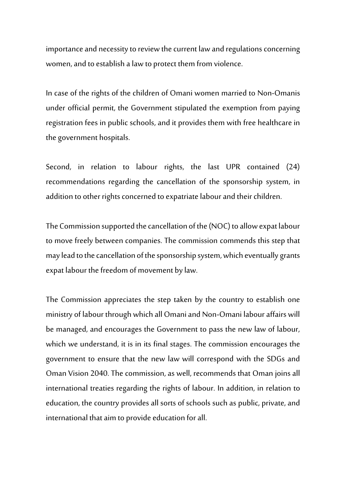importance and necessity to review the current law and regulations concerning women, and to establish a law to protect them from violence.

In case of the rights of the children of Omani women married to Non-Omanis under official permit, the Government stipulated the exemption from paying registration fees in public schools, and it provides them with free healthcare in the government hospitals.

Second, in relation to labour rights, the last UPR contained (24) recommendations regarding the cancellation of the sponsorship system, in addition to other rights concerned to expatriate labour and their children.

The Commission supported the cancellation of the (NOC) to allow expat labour to move freely between companies. The commission commends this step that may lead to the cancellation of the sponsorship system, which eventually grants expat labour the freedom of movement by law.

The Commission appreciates the step taken by the country to establish one ministry of labour through which all Omani and Non-Omani labour affairs will be managed, and encourages the Government to pass the new law of labour, which we understand, it is in its final stages. The commission encourages the government to ensure that the new law will correspond with the SDGs and Oman Vision 2040. The commission, as well, recommends that Oman joins all international treaties regarding the rights of labour. In addition, in relation to education, the country provides all sorts of schools such as public, private, and international that aim to provide education for all.